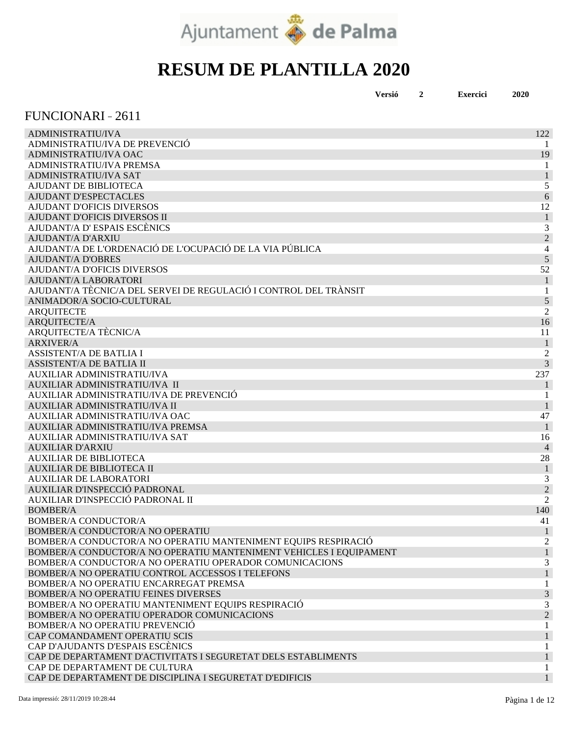

|  | Versió |  | <b>Exercici</b> | 2020 |
|--|--------|--|-----------------|------|
|--|--------|--|-----------------|------|

#### FUNCIONARI 2611

| <b>ADMINISTRATIU/IVA</b>                                           | 122              |
|--------------------------------------------------------------------|------------------|
| ADMINISTRATIU/IVA DE PREVENCIÓ                                     |                  |
| ADMINISTRATIU/IVA OAC                                              | 19               |
| ADMINISTRATIU/IVA PREMSA                                           |                  |
| <b>ADMINISTRATIU/IVA SAT</b>                                       | $\mathbf{1}$     |
| AJUDANT DE BIBLIOTECA                                              | 5                |
| <b>AJUDANT D'ESPECTACLES</b>                                       | 6                |
| <b>AJUDANT D'OFICIS DIVERSOS</b>                                   | 12               |
| <b>AJUDANT D'OFICIS DIVERSOS II</b>                                | $\mathbf{1}$     |
| AJUDANT/A D'ESPAIS ESCÈNICS                                        | 3                |
| <b>AJUDANT/A D'ARXIU</b>                                           | $\overline{2}$   |
| AJUDANT/A DE L'ORDENACIÓ DE L'OCUPACIÓ DE LA VIA PÚBLICA           | 4                |
| <b>AJUDANT/A D'OBRES</b>                                           | $\sqrt{5}$       |
| <b>AJUDANT/A D'OFICIS DIVERSOS</b>                                 | 52               |
| AJUDANT/A LABORATORI                                               | 1                |
| AJUDANT/A TÈCNIC/A DEL SERVEI DE REGULACIÓ I CONTROL DEL TRÀNSIT   | 1                |
| ANIMADOR/A SOCIO-CULTURAL                                          | 5                |
| <b>ARQUITECTE</b>                                                  | $\overline{2}$   |
| ARQUITECTE/A                                                       | 16               |
| ARQUITECTE/A TÈCNIC/A                                              | 11               |
| <b>ARXIVER/A</b>                                                   | $\mathbf{1}$     |
| <b>ASSISTENT/A DE BATLIA I</b>                                     | $\boldsymbol{2}$ |
| <b>ASSISTENT/A DE BATLIA II</b>                                    | 3                |
| AUXILIAR ADMINISTRATIU/IVA                                         | 237              |
| AUXILIAR ADMINISTRATIU/IVA II                                      | $\mathbf{1}$     |
| AUXILIAR ADMINISTRATIU/IVA DE PREVENCIÓ                            | 1                |
| AUXILIAR ADMINISTRATIU/IVA II                                      | 1                |
| AUXILIAR ADMINISTRATIU/IVA OAC                                     | 47               |
| AUXILIAR ADMINISTRATIU/IVA PREMSA                                  | $\overline{1}$   |
| AUXILIAR ADMINISTRATIU/IVA SAT                                     | 16               |
| <b>AUXILIAR D'ARXIU</b>                                            | $\overline{4}$   |
| <b>AUXILIAR DE BIBLIOTECA</b>                                      | 28               |
| <b>AUXILIAR DE BIBLIOTECA II</b>                                   | $\mathbf{1}$     |
| <b>AUXILIAR DE LABORATORI</b>                                      | 3                |
| AUXILIAR D'INSPECCIÓ PADRONAL                                      | $\overline{2}$   |
| AUXILIAR D'INSPECCIÓ PADRONAL II                                   | $\overline{2}$   |
| <b>BOMBER/A</b>                                                    | 140              |
| <b>BOMBER/A CONDUCTOR/A</b>                                        | 41               |
| BOMBER/A CONDUCTOR/A NO OPERATIU                                   | 1                |
| BOMBER/A CONDUCTOR/A NO OPERATIU MANTENIMENT EQUIPS RESPIRACIÓ     | 2                |
| BOMBER/A CONDUCTOR/A NO OPERATIU MANTENIMENT VEHICLES I EQUIPAMENT |                  |
| BOMBER/A CONDUCTOR/A NO OPERATIU OPERADOR COMUNICACIONS            | 3                |
| BOMBER/A NO OPERATIU CONTROL ACCESSOS I TELEFONS                   |                  |
| BOMBER/A NO OPERATIU ENCARREGAT PREMSA                             |                  |
| BOMBER/A NO OPERATIU FEINES DIVERSES                               | $\sqrt{3}$       |
| BOMBER/A NO OPERATIU MANTENIMENT EQUIPS RESPIRACIÓ                 | 3                |
| BOMBER/A NO OPERATIU OPERADOR COMUNICACIONS                        | $\sqrt{2}$       |
| BOMBER/A NO OPERATIU PREVENCIÓ                                     |                  |
| CAP COMANDAMENT OPERATIU SCIS                                      |                  |
| CAP D'AJUDANTS D'ESPAIS ESCÈNICS                                   |                  |
| CAP DE DEPARTAMENT D'ACTIVITATS I SEGURETAT DELS ESTABLIMENTS      |                  |
| CAP DE DEPARTAMENT DE CULTURA                                      |                  |
| CAP DE DEPARTAMENT DE DISCIPLINA I SEGURETAT D'EDIFICIS            |                  |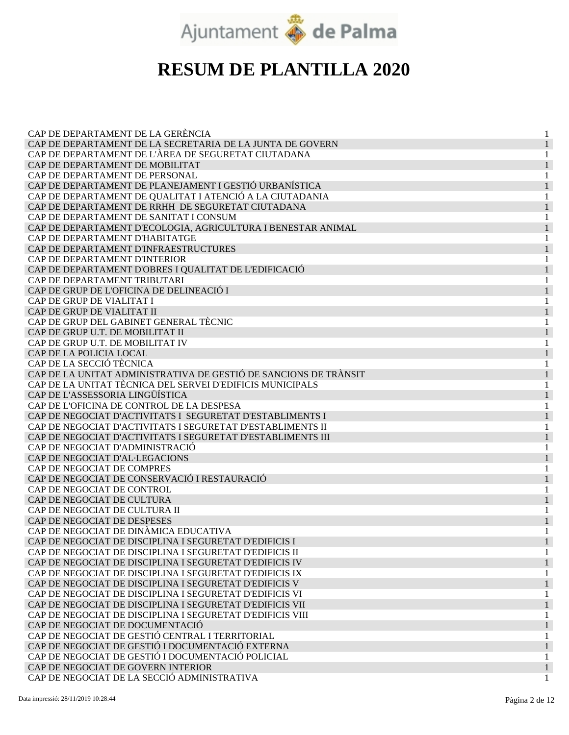

| CAP DE DEPARTAMENT DE LA GERÈNCIA                                |   |
|------------------------------------------------------------------|---|
| CAP DE DEPARTAMENT DE LA SECRETARIA DE LA JUNTA DE GOVERN        |   |
| CAP DE DEPARTAMENT DE L'ÀREA DE SEGURETAT CIUTADANA              |   |
| CAP DE DEPARTAMENT DE MOBILITAT                                  |   |
| CAP DE DEPARTAMENT DE PERSONAL                                   |   |
| CAP DE DEPARTAMENT DE PLANEJAMENT I GESTIÓ URBANÍSTICA           |   |
| CAP DE DEPARTAMENT DE QUALITAT I ATENCIÓ A LA CIUTADANIA         |   |
| CAP DE DEPARTAMENT DE RRHH DE SEGURETAT CIUTADANA                |   |
| CAP DE DEPARTAMENT DE SANITAT I CONSUM                           | 1 |
| CAP DE DEPARTAMENT D'ECOLOGIA, AGRICULTURA I BENESTAR ANIMAL     |   |
| CAP DE DEPARTAMENT D'HABITATGE                                   |   |
| CAP DE DEPARTAMENT D'INFRAESTRUCTURES                            |   |
| CAP DE DEPARTAMENT D'INTERIOR                                    |   |
| CAP DE DEPARTAMENT D'OBRES I QUALITAT DE L'EDIFICACIÓ            |   |
| CAP DE DEPARTAMENT TRIBUTARI                                     |   |
| CAP DE GRUP DE L'OFICINA DE DELINEACIÓ I                         |   |
| CAP DE GRUP DE VIALITAT I                                        | 1 |
| CAP DE GRUP DE VIALITAT II                                       |   |
| CAP DE GRUP DEL GABINET GENERAL TÈCNIC                           |   |
| CAP DE GRUP U.T. DE MOBILITAT II                                 |   |
|                                                                  |   |
| CAP DE GRUP U.T. DE MOBILITAT IV                                 |   |
| CAP DE LA POLICIA LOCAL                                          |   |
| CAP DE LA SECCIÓ TÈCNICA                                         |   |
| CAP DE LA UNITAT ADMINISTRATIVA DE GESTIÓ DE SANCIONS DE TRÀNSIT |   |
| CAP DE LA UNITAT TÈCNICA DEL SERVEI D'EDIFICIS MUNICIPALS        | 1 |
| CAP DE L'ASSESSORIA LINGÜÍSTICA                                  |   |
| CAP DE L'OFICINA DE CONTROL DE LA DESPESA                        |   |
| CAP DE NEGOCIAT D'ACTIVITATS I SEGURETAT D'ESTABLIMENTS I        |   |
| CAP DE NEGOCIAT D'ACTIVITATS I SEGURETAT D'ESTABLIMENTS II       |   |
| CAP DE NEGOCIAT D'ACTIVITATS I SEGURETAT D'ESTABLIMENTS III      |   |
| CAP DE NEGOCIAT D'ADMINISTRACIÓ                                  |   |
| CAP DE NEGOCIAT D'AL·LEGACIONS                                   |   |
| CAP DE NEGOCIAT DE COMPRES                                       |   |
| CAP DE NEGOCIAT DE CONSERVACIÓ I RESTAURACIÓ                     |   |
| CAP DE NEGOCIAT DE CONTROL                                       |   |
| CAP DE NEGOCIAT DE CULTURA                                       |   |
| CAP DE NEGOCIAT DE CULTURA II                                    |   |
| CAP DE NEGOCIAT DE DESPESES                                      |   |
| CAP DE NEGOCIAT DE DINÀMICA EDUCATIVA                            |   |
| CAP DE NEGOCIAT DE DISCIPLINA I SEGURETAT D'EDIFICIS I           |   |
| CAP DE NEGOCIAT DE DISCIPLINA I SEGURETAT D'EDIFICIS II          | 1 |
| CAP DE NEGOCIAT DE DISCIPLINA I SEGURETAT D'EDIFICIS IV          |   |
| CAP DE NEGOCIAT DE DISCIPLINA I SEGURETAT D'EDIFICIS IX          |   |
| CAP DE NEGOCIAT DE DISCIPLINA I SEGURETAT D'EDIFICIS V           |   |
| CAP DE NEGOCIAT DE DISCIPLINA I SEGURETAT D'EDIFICIS VI          |   |
| CAP DE NEGOCIAT DE DISCIPLINA I SEGURETAT D'EDIFICIS VII         |   |
| CAP DE NEGOCIAT DE DISCIPLINA I SEGURETAT D'EDIFICIS VIII        |   |
| CAP DE NEGOCIAT DE DOCUMENTACIÓ                                  |   |
| CAP DE NEGOCIAT DE GESTIÓ CENTRAL I TERRITORIAL                  |   |
| CAP DE NEGOCIAT DE GESTIÓ I DOCUMENTACIÓ EXTERNA                 |   |
| CAP DE NEGOCIAT DE GESTIÓ I DOCUMENTACIÓ POLICIAL                |   |
| CAP DE NEGOCIAT DE GOVERN INTERIOR                               |   |
| CAP DE NEGOCIAT DE LA SECCIÓ ADMINISTRATIVA                      |   |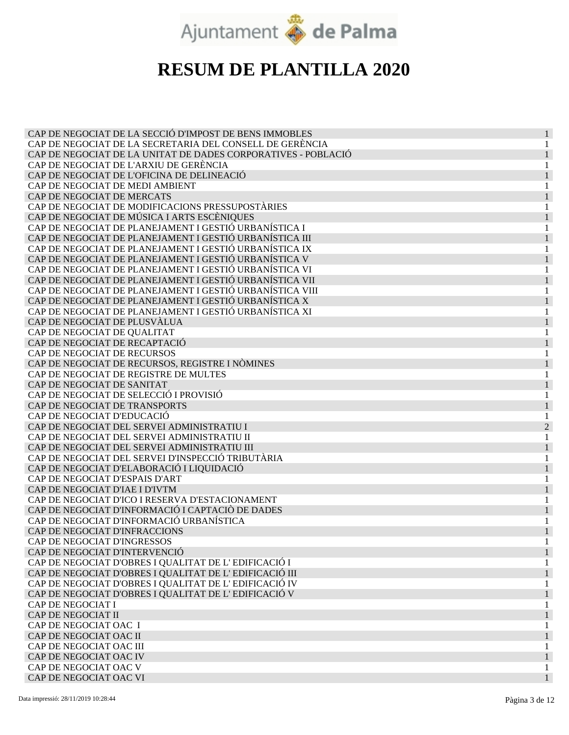

| CAP DE NEGOCIAT DE LA SECCIÓ D'IMPOST DE BENS IMMOBLES        |                |
|---------------------------------------------------------------|----------------|
| CAP DE NEGOCIAT DE LA SECRETARIA DEL CONSELL DE GERÈNCIA      |                |
| CAP DE NEGOCIAT DE LA UNITAT DE DADES CORPORATIVES - POBLACIÓ |                |
| CAP DE NEGOCIAT DE L'ARXIU DE GERÈNCIA                        |                |
| CAP DE NEGOCIAT DE L'OFICINA DE DELINEACIÓ                    |                |
| CAP DE NEGOCIAT DE MEDI AMBIENT                               |                |
| CAP DE NEGOCIAT DE MERCATS                                    |                |
| CAP DE NEGOCIAT DE MODIFICACIONS PRESSUPOSTÀRIES              |                |
| CAP DE NEGOCIAT DE MÚSICA I ARTS ESCÈNIQUES                   |                |
| CAP DE NEGOCIAT DE PLANEJAMENT I GESTIÓ URBANÍSTICA I         |                |
| CAP DE NEGOCIAT DE PLANEJAMENT I GESTIÓ URBANÍSTICA III       |                |
|                                                               |                |
| CAP DE NEGOCIAT DE PLANEJAMENT I GESTIÓ URBANÍSTICA IX        |                |
| CAP DE NEGOCIAT DE PLANEJAMENT I GESTIÓ URBANÍSTICA V         |                |
| CAP DE NEGOCIAT DE PLANEJAMENT I GESTIÓ URBANÍSTICA VI        |                |
| CAP DE NEGOCIAT DE PLANEJAMENT I GESTIÓ URBANÍSTICA VII       |                |
| CAP DE NEGOCIAT DE PLANEJAMENT I GESTIÓ URBANÍSTICA VIII      |                |
| CAP DE NEGOCIAT DE PLANEJAMENT I GESTIÓ URBANÍSTICA X         |                |
| CAP DE NEGOCIAT DE PLANEJAMENT I GESTIÓ URBANÍSTICA XI        |                |
| CAP DE NEGOCIAT DE PLUSVÀLUA                                  |                |
| CAP DE NEGOCIAT DE QUALITAT                                   |                |
| CAP DE NEGOCIAT DE RECAPTACIÓ                                 |                |
| CAP DE NEGOCIAT DE RECURSOS                                   |                |
| CAP DE NEGOCIAT DE RECURSOS, REGISTRE I NÒMINES               |                |
| CAP DE NEGOCIAT DE REGISTRE DE MULTES                         |                |
| CAP DE NEGOCIAT DE SANITAT                                    |                |
| CAP DE NEGOCIAT DE SELECCIÓ I PROVISIÓ                        |                |
| CAP DE NEGOCIAT DE TRANSPORTS                                 |                |
| CAP DE NEGOCIAT D'EDUCACIÓ                                    |                |
| CAP DE NEGOCIAT DEL SERVEI ADMINISTRATIU I                    | $\overline{2}$ |
| CAP DE NEGOCIAT DEL SERVEI ADMINISTRATIU II                   |                |
| CAP DE NEGOCIAT DEL SERVEI ADMINISTRATIU III                  |                |
| CAP DE NEGOCIAT DEL SERVEI D'INSPECCIÓ TRIBUTÀRIA             |                |
| CAP DE NEGOCIAT D'ELABORACIÓ I LIQUIDACIÓ                     |                |
| CAP DE NEGOCIAT D'ESPAIS D'ART                                |                |
| CAP DE NEGOCIAT D'IAE I D'IVTM                                |                |
| CAP DE NEGOCIAT D'ICO I RESERVA D'ESTACIONAMENT               |                |
| CAP DE NEGOCIAT D'INFORMACIÓ I CAPTACIÓ DE DADES              |                |
| CAP DE NEGOCIAT D'INFORMACIÓ URBANÍSTICA                      |                |
| CAP DE NEGOCIAT D'INFRACCIONS                                 |                |
|                                                               |                |
| CAP DE NEGOCIAT D'INGRESSOS                                   |                |
| CAP DE NEGOCIAT D'INTERVENCIÓ                                 |                |
| CAP DE NEGOCIAT D'OBRES I QUALITAT DE L'EDIFICACIÓ I          |                |
| CAP DE NEGOCIAT D'OBRES I QUALITAT DE L'EDIFICACIÓ III        |                |
| CAP DE NEGOCIAT D'OBRES I QUALITAT DE L'EDIFICACIÓ IV         |                |
| CAP DE NEGOCIAT D'OBRES I QUALITAT DE L'EDIFICACIÓ V          |                |
| CAP DE NEGOCIAT I                                             |                |
| CAP DE NEGOCIAT II                                            |                |
| CAP DE NEGOCIAT OAC I                                         |                |
| CAP DE NEGOCIAT OAC II                                        |                |
| CAP DE NEGOCIAT OAC III                                       |                |
| CAP DE NEGOCIAT OAC IV                                        |                |
| CAP DE NEGOCIAT OAC V                                         |                |
| CAP DE NEGOCIAT OAC VI                                        |                |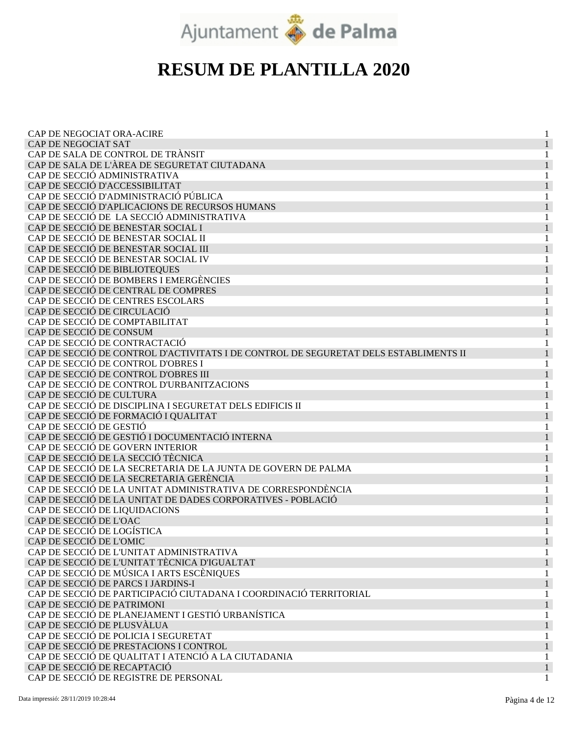

| CAP DE NEGOCIAT ORA-ACIRE                                                            |   |
|--------------------------------------------------------------------------------------|---|
| CAP DE NEGOCIAT SAT                                                                  |   |
| CAP DE SALA DE CONTROL DE TRÀNSIT                                                    |   |
| CAP DE SALA DE L'ÀREA DE SEGURETAT CIUTADANA                                         |   |
| CAP DE SECCIÓ ADMINISTRATIVA                                                         |   |
| CAP DE SECCIÓ D'ACCESSIBILITAT                                                       |   |
| CAP DE SECCIÓ D'ADMINISTRACIÓ PÚBLICA                                                |   |
| CAP DE SECCIÓ D'APLICACIONS DE RECURSOS HUMANS                                       | 1 |
| CAP DE SECCIÓ DE LA SECCIÓ ADMINISTRATIVA                                            | 1 |
| CAP DE SECCIÓ DE BENESTAR SOCIAL I                                                   |   |
| CAP DE SECCIÓ DE BENESTAR SOCIAL II                                                  |   |
| CAP DE SECCIÓ DE BENESTAR SOCIAL III                                                 |   |
| CAP DE SECCIÓ DE BENESTAR SOCIAL IV                                                  |   |
| CAP DE SECCIÓ DE BIBLIOTEQUES                                                        |   |
| CAP DE SECCIÓ DE BOMBERS I EMERGÈNCIES                                               |   |
| CAP DE SECCIÓ DE CENTRAL DE COMPRES                                                  |   |
| CAP DE SECCIÓ DE CENTRES ESCOLARS                                                    | 1 |
| CAP DE SECCIÓ DE CIRCULACIÓ                                                          |   |
| CAP DE SECCIÓ DE COMPTABILITAT                                                       |   |
| CAP DE SECCIÓ DE CONSUM                                                              |   |
| CAP DE SECCIÓ DE CONTRACTACIÓ                                                        |   |
| CAP DE SECCIÓ DE CONTROL D'ACTIVITATS I DE CONTROL DE SEGURETAT DELS ESTABLIMENTS II |   |
| CAP DE SECCIÓ DE CONTROL D'OBRES I                                                   |   |
| CAP DE SECCIÓ DE CONTROL D'OBRES III                                                 |   |
| CAP DE SECCIÓ DE CONTROL D'URBANITZACIONS                                            | 1 |
| CAP DE SECCIÓ DE CULTURA                                                             |   |
| CAP DE SECCIÓ DE DISCIPLINA I SEGURETAT DELS EDIFICIS II                             | 1 |
| CAP DE SECCIÓ DE FORMACIÓ I QUALITAT                                                 |   |
| CAP DE SECCIÓ DE GESTIÓ                                                              |   |
| CAP DE SECCIÓ DE GESTIÓ I DOCUMENTACIÓ INTERNA                                       |   |
| CAP DE SECCIÓ DE GOVERN INTERIOR                                                     |   |
| CAP DE SECCIÓ DE LA SECCIÓ TÈCNICA                                                   |   |
| CAP DE SECCIÓ DE LA SECRETARIA DE LA JUNTA DE GOVERN DE PALMA                        | 1 |
| CAP DE SECCIÓ DE LA SECRETARIA GERÈNCIA                                              |   |
| CAP DE SECCIÓ DE LA UNITAT ADMINISTRATIVA DE CORRESPONDÈNCIA                         | 1 |
| CAP DE SECCIÓ DE LA UNITAT DE DADES CORPORATIVES - POBLACIÓ                          |   |
| CAP DE SECCIÓ DE LIQUIDACIONS                                                        |   |
| CAP DE SECCIÓ DE L'OAC                                                               |   |
| CAP DE SECCIÓ DE LOGÍSTICA                                                           |   |
| CAP DE SECCIÓ DE L'OMIC                                                              |   |
| CAP DE SECCIÓ DE L'UNITAT ADMINISTRATIVA                                             |   |
| CAP DE SECCIÓ DE L'UNITAT TÈCNICA D'IGUALTAT                                         |   |
| CAP DE SECCIÓ DE MÚSICA I ARTS ESCÈNIQUES                                            |   |
| CAP DE SECCIÓ DE PARCS I JARDINS-I                                                   |   |
| CAP DE SECCIÓ DE PARTICIPACIÓ CIUTADANA I COORDINACIÓ TERRITORIAL                    |   |
| CAP DE SECCIÓ DE PATRIMONI                                                           |   |
| CAP DE SECCIÓ DE PLANEJAMENT I GESTIÓ URBANÍSTICA                                    |   |
| CAP DE SECCIÓ DE PLUSVÀLUA                                                           |   |
| CAP DE SECCIÓ DE POLICIA I SEGURETAT                                                 |   |
| CAP DE SECCIÓ DE PRESTACIONS I CONTROL                                               |   |
| CAP DE SECCIÓ DE QUALITAT I ATENCIÓ A LA CIUTADANIA                                  |   |
| CAP DE SECCIÓ DE RECAPTACIÓ                                                          |   |
| CAP DE SECCIÓ DE REGISTRE DE PERSONAL                                                |   |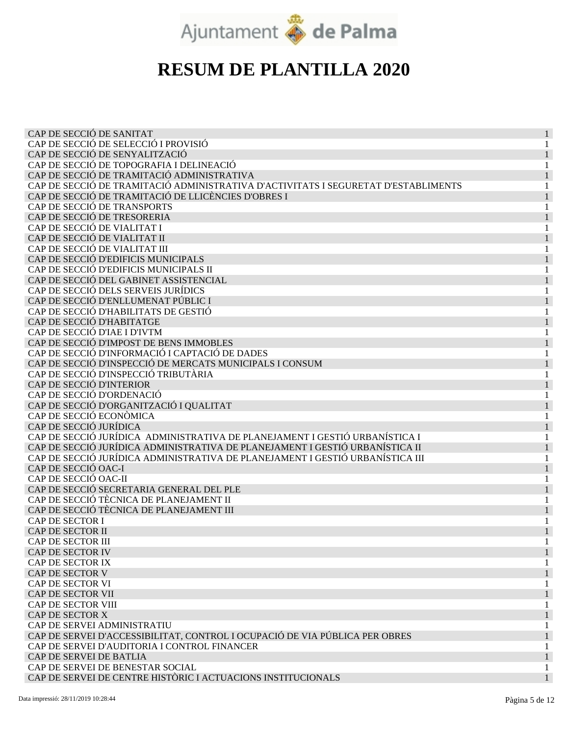

| CAP DE SECCIÓ DE SANITAT                                                           |  |
|------------------------------------------------------------------------------------|--|
| CAP DE SECCIÓ DE SELECCIÓ I PROVISIÓ                                               |  |
| CAP DE SECCIÓ DE SENYALITZACIÓ                                                     |  |
| CAP DE SECCIÓ DE TOPOGRAFIA I DELINEACIÓ                                           |  |
| CAP DE SECCIÓ DE TRAMITACIÓ ADMINISTRATIVA                                         |  |
| CAP DE SECCIÓ DE TRAMITACIÓ ADMINISTRATIVA D'ACTIVITATS I SEGURETAT D'ESTABLIMENTS |  |
| CAP DE SECCIÓ DE TRAMITACIÓ DE LLICÈNCIES D'OBRES I                                |  |
| CAP DE SECCIÓ DE TRANSPORTS                                                        |  |
| CAP DE SECCIÓ DE TRESORERIA                                                        |  |
| CAP DE SECCIÓ DE VIALITAT I                                                        |  |
| CAP DE SECCIÓ DE VIALITAT II                                                       |  |
| CAP DE SECCIÓ DE VIALITAT III                                                      |  |
| CAP DE SECCIÓ D'EDIFICIS MUNICIPALS                                                |  |
| CAP DE SECCIÓ D'EDIFICIS MUNICIPALS II                                             |  |
| CAP DE SECCIÓ DEL GABINET ASSISTENCIAL                                             |  |
| CAP DE SECCIÓ DELS SERVEIS JURÍDICS                                                |  |
| CAP DE SECCIÓ D'ENLLUMENAT PÚBLIC I                                                |  |
|                                                                                    |  |
| CAP DE SECCIÓ D'HABILITATS DE GESTIÓ<br>CAP DE SECCIÓ D'HABITATGE                  |  |
|                                                                                    |  |
| CAP DE SECCIÓ D'IAE I D'IVTM                                                       |  |
| CAP DE SECCIÓ D'IMPOST DE BENS IMMOBLES                                            |  |
| CAP DE SECCIÓ D'INFORMACIÓ I CAPTACIÓ DE DADES                                     |  |
| CAP DE SECCIÓ D'INSPECCIÓ DE MERCATS MUNICIPALS I CONSUM                           |  |
| CAP DE SECCIÓ D'INSPECCIÓ TRIBUTÀRIA                                               |  |
| CAP DE SECCIÓ D'INTERIOR                                                           |  |
| CAP DE SECCIÓ D'ORDENACIÓ                                                          |  |
| CAP DE SECCIÓ D'ORGANITZACIÓ I QUALITAT                                            |  |
| CAP DE SECCIÓ ECONÒMICA                                                            |  |
| CAP DE SECCIÓ JURÍDICA                                                             |  |
| CAP DE SECCIÓ JURÍDICA ADMINISTRATIVA DE PLANEJAMENT I GESTIÓ URBANÍSTICA I        |  |
| CAP DE SECCIÓ JURÍDICA ADMINISTRATIVA DE PLANEJAMENT I GESTIÓ URBANÍSTICA II       |  |
| CAP DE SECCIÓ JURÍDICA ADMINISTRATIVA DE PLANEJAMENT I GESTIÓ URBANÍSTICA III      |  |
| CAP DE SECCIÓ OAC-I                                                                |  |
| CAP DE SECCIÓ OAC-II                                                               |  |
| CAP DE SECCIÓ SECRETARIA GENERAL DEL PLE                                           |  |
| CAP DE SECCIÓ TÈCNICA DE PLANEJAMENT II                                            |  |
| CAP DE SECCIÓ TÈCNICA DE PLANEJAMENT III                                           |  |
| CAP DE SECTOR I                                                                    |  |
| CAP DE SECTOR II                                                                   |  |
| CAP DE SECTOR III                                                                  |  |
| CAP DE SECTOR IV                                                                   |  |
| CAP DE SECTOR IX                                                                   |  |
| CAP DE SECTOR V                                                                    |  |
| CAP DE SECTOR VI                                                                   |  |
| CAP DE SECTOR VII                                                                  |  |
| CAP DE SECTOR VIII                                                                 |  |
| CAP DE SECTOR X                                                                    |  |
| CAP DE SERVEI ADMINISTRATIU                                                        |  |
| CAP DE SERVEI D'ACCESSIBILITAT, CONTROL I OCUPACIÓ DE VIA PÚBLICA PER OBRES        |  |
| CAP DE SERVEI D'AUDITORIA I CONTROL FINANCER                                       |  |
| CAP DE SERVEI DE BATLIA                                                            |  |
| CAP DE SERVEI DE BENESTAR SOCIAL                                                   |  |
| CAP DE SERVEI DE CENTRE HISTÒRIC I ACTUACIONS INSTITUCIONALS                       |  |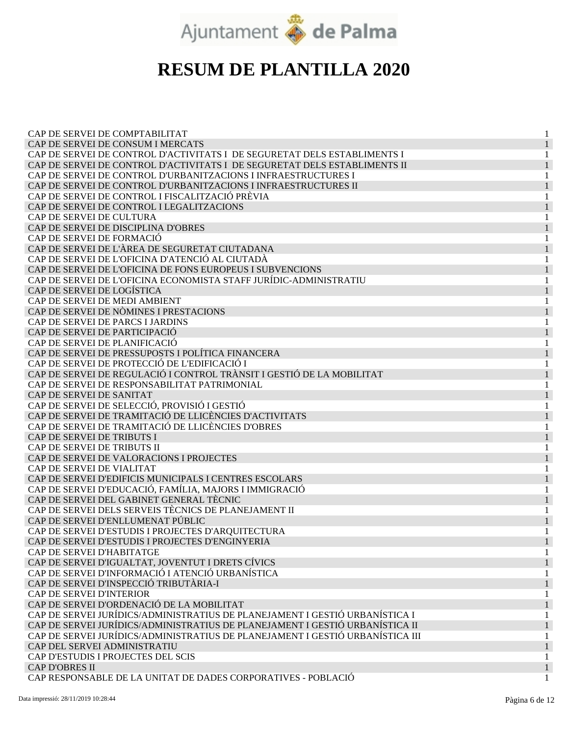

| CAP DE SERVEI DE COMPTABILITAT                                                |   |
|-------------------------------------------------------------------------------|---|
| CAP DE SERVEI DE CONSUM I MERCATS                                             |   |
| CAP DE SERVEI DE CONTROL D'ACTIVITATS I DE SEGURETAT DELS ESTABLIMENTS I      |   |
| CAP DE SERVEI DE CONTROL D'ACTIVITATS I DE SEGURETAT DELS ESTABLIMENTS II     |   |
| CAP DE SERVEI DE CONTROL D'URBANITZACIONS I INFRAESTRUCTURES I                |   |
| CAP DE SERVEI DE CONTROL D'URBANITZACIONS I INFRAESTRUCTURES II               |   |
| CAP DE SERVEI DE CONTROL I FISCALITZACIÓ PRÈVIA                               |   |
| CAP DE SERVEI DE CONTROL I LEGALITZACIONS                                     |   |
| CAP DE SERVEI DE CULTURA                                                      | 1 |
| CAP DE SERVEI DE DISCIPLINA D'OBRES                                           |   |
| CAP DE SERVEI DE FORMACIÓ                                                     |   |
| CAP DE SERVEI DE L'ÀREA DE SEGURETAT CIUTADANA                                |   |
| CAP DE SERVEI DE L'OFICINA D'ATENCIÓ AL CIUTADÀ                               |   |
| CAP DE SERVEI DE L'OFICINA DE FONS EUROPEUS I SUBVENCIONS                     |   |
| CAP DE SERVEI DE L'OFICINA ECONOMISTA STAFF JURÍDIC-ADMINISTRATIU             |   |
| CAP DE SERVEI DE LOGÍSTICA                                                    |   |
| CAP DE SERVEI DE MEDI AMBIENT                                                 |   |
| CAP DE SERVEI DE NÒMINES I PRESTACIONS                                        |   |
| CAP DE SERVEI DE PARCS I JARDINS                                              |   |
| CAP DE SERVEI DE PARTICIPACIÓ                                                 |   |
| CAP DE SERVEI DE PLANIFICACIÓ                                                 |   |
| CAP DE SERVEI DE PRESSUPOSTS I POLÍTICA FINANCERA                             |   |
|                                                                               |   |
| CAP DE SERVEI DE PROTECCIÓ DE L'EDIFICACIÓ I                                  |   |
| CAP DE SERVEI DE REGULACIÓ I CONTROL TRÀNSIT I GESTIÓ DE LA MOBILITAT         |   |
| CAP DE SERVEI DE RESPONSABILITAT PATRIMONIAL                                  | 1 |
| CAP DE SERVEI DE SANITAT                                                      |   |
| CAP DE SERVEI DE SELECCIÓ, PROVISIÓ I GESTIÓ                                  |   |
| CAP DE SERVEI DE TRAMITACIÓ DE LLICÈNCIES D'ACTIVITATS                        |   |
| CAP DE SERVEI DE TRAMITACIÓ DE LLICÈNCIES D'OBRES                             |   |
| CAP DE SERVEI DE TRIBUTS I                                                    |   |
| CAP DE SERVEI DE TRIBUTS II                                                   |   |
| CAP DE SERVEI DE VALORACIONS I PROJECTES                                      | 1 |
| CAP DE SERVEI DE VIALITAT                                                     |   |
| CAP DE SERVEI D'EDIFICIS MUNICIPALS I CENTRES ESCOLARS                        |   |
| CAP DE SERVEI D'EDUCACIÓ, FAMÍLIA, MAJORS I IMMIGRACIÓ                        |   |
| CAP DE SERVEI DEL GABINET GENERAL TÈCNIC                                      |   |
| CAP DE SERVEI DELS SERVEIS TÈCNICS DE PLANEJAMENT II                          |   |
| CAP DE SERVEI D'ENLLUMENAT PÚBLIC                                             |   |
| CAP DE SERVEI D'ESTUDIS I PROJECTES D'ARQUITECTURA                            |   |
| CAP DE SERVEI D'ESTUDIS I PROJECTES D'ENGINYERIA                              |   |
| CAP DE SERVEI D'HABITATGE                                                     | 1 |
| CAP DE SERVEI D'IGUALTAT, JOVENTUT I DRETS CÍVICS                             |   |
| CAP DE SERVEI D'INFORMACIÓ I ATENCIÓ URBANÍSTICA                              |   |
| CAP DE SERVEI D'INSPECCIÓ TRIBUTÀRIA-I                                        |   |
| <b>CAP DE SERVEI D'INTERIOR</b>                                               |   |
| CAP DE SERVEI D'ORDENACIÓ DE LA MOBILITAT                                     |   |
| CAP DE SERVEI JURÍDICS/ADMINISTRATIUS DE PLANEJAMENT I GESTIÓ URBANÍSTICA I   |   |
| CAP DE SERVEI JURÍDICS/ADMINISTRATIUS DE PLANEJAMENT I GESTIÓ URBANÍSTICA II  |   |
| CAP DE SERVEI JURÍDICS/ADMINISTRATIUS DE PLANEJAMENT I GESTIÓ URBANÍSTICA III |   |
| CAP DEL SERVEI ADMINISTRATIU                                                  |   |
| CAP D'ESTUDIS I PROJECTES DEL SCIS                                            |   |
| <b>CAP D'OBRES II</b>                                                         |   |
| CAP RESPONSABLE DE LA UNITAT DE DADES CORPORATIVES - POBLACIÓ                 |   |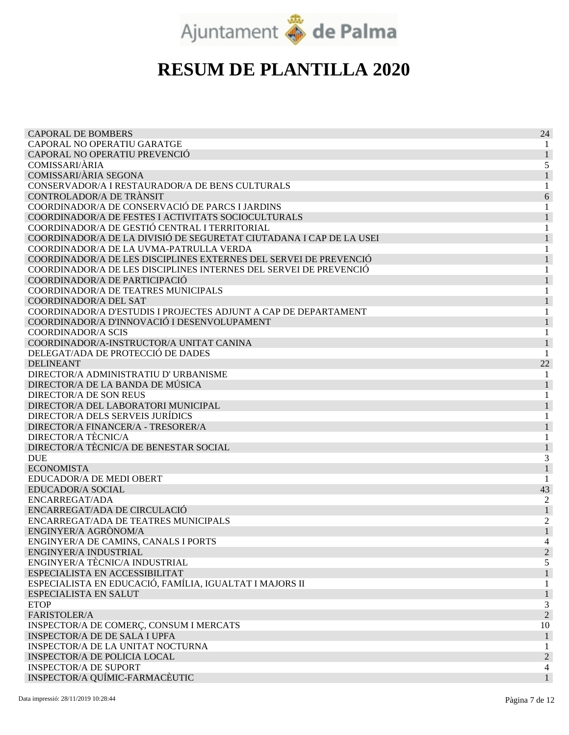

| <b>CAPORAL DE BOMBERS</b>                                           | 24             |
|---------------------------------------------------------------------|----------------|
| CAPORAL NO OPERATIU GARATGE                                         |                |
| CAPORAL NO OPERATIU PREVENCIÓ                                       |                |
| <b>COMISSARI/ÀRIA</b>                                               | 5              |
| COMISSARI/ÀRIA SEGONA                                               |                |
| CONSERVADOR/A I RESTAURADOR/A DE BENS CULTURALS                     |                |
| CONTROLADOR/A DE TRÀNSIT                                            | 6              |
| COORDINADOR/A DE CONSERVACIÓ DE PARCS I JARDINS                     |                |
| COORDINADOR/A DE FESTES I ACTIVITATS SOCIOCULTURALS                 | 1              |
| COORDINADOR/A DE GESTIÓ CENTRAL I TERRITORIAL                       | 1              |
| COORDINADOR/A DE LA DIVISIÓ DE SEGURETAT CIUTADANA I CAP DE LA USEI |                |
| COORDINADOR/A DE LA UVMA-PATRULLA VERDA                             |                |
| COORDINADOR/A DE LES DISCIPLINES EXTERNES DEL SERVEI DE PREVENCIÓ   |                |
| COORDINADOR/A DE LES DISCIPLINES INTERNES DEL SERVEI DE PREVENCIÓ   |                |
| COORDINADOR/A DE PARTICIPACIÓ                                       |                |
| COORDINADOR/A DE TEATRES MUNICIPALS                                 |                |
| COORDINADOR/A DEL SAT                                               |                |
| COORDINADOR/A D'ESTUDIS I PROJECTES ADJUNT A CAP DE DEPARTAMENT     |                |
| COORDINADOR/A D'INNOVACIÓ I DESENVOLUPAMENT                         |                |
| <b>COORDINADOR/A SCIS</b>                                           |                |
| COORDINADOR/A-INSTRUCTOR/A UNITAT CANINA                            |                |
| DELEGAT/ADA DE PROTECCIÓ DE DADES                                   |                |
| <b>DELINEANT</b>                                                    | 22             |
| DIRECTOR/A ADMINISTRATIU D' URBANISME                               |                |
| DIRECTOR/A DE LA BANDA DE MÚSICA                                    |                |
| DIRECTOR/A DE SON REUS                                              |                |
| DIRECTOR/A DEL LABORATORI MUNICIPAL                                 |                |
| DIRECTOR/A DELS SERVEIS JURÍDICS                                    |                |
| DIRECTOR/A FINANCER/A - TRESORER/A                                  |                |
| <b>DIRECTOR/A TÈCNIC/A</b>                                          |                |
| DIRECTOR/A TÈCNIC/A DE BENESTAR SOCIAL                              |                |
| <b>DUE</b>                                                          | 3              |
| <b>ECONOMISTA</b>                                                   |                |
| EDUCADOR/A DE MEDI OBERT                                            |                |
| EDUCADOR/A SOCIAL                                                   | 43             |
| ENCARREGAT/ADA                                                      | 2              |
| ENCARREGAT/ADA DE CIRCULACIÓ                                        |                |
| ENCARREGAT/ADA DE TEATRES MUNICIPALS                                | 2              |
| ENGINYER/A AGRÒNOM/A                                                |                |
| ENGINYER/A DE CAMINS, CANALS I PORTS                                |                |
| ENGINYER/A INDUSTRIAL                                               | $\overline{2}$ |
| ENGINYER/A TÈCNIC/A INDUSTRIAL                                      | 5              |
| ESPECIALISTA EN ACCESSIBILITAT                                      | 1              |
| ESPECIALISTA EN EDUCACIÓ, FAMÍLIA, IGUALTAT I MAJORS II             | 1              |
| ESPECIALISTA EN SALUT                                               |                |
| <b>ETOP</b>                                                         | 3              |
| FARISTOLER/A                                                        | $\overline{c}$ |
| INSPECTOR/A DE COMERÇ, CONSUM I MERCATS                             | 10             |
| INSPECTOR/A DE DE SALA I UPFA                                       | $\mathbf{1}$   |
| INSPECTOR/A DE LA UNITAT NOCTURNA                                   | 1              |
| INSPECTOR/A DE POLICIA LOCAL                                        | $\overline{c}$ |
| <b>INSPECTOR/A DE SUPORT</b>                                        | 4              |
| INSPECTOR/A QUÍMIC-FARMACÈUTIC                                      | $\mathbf{1}$   |
|                                                                     |                |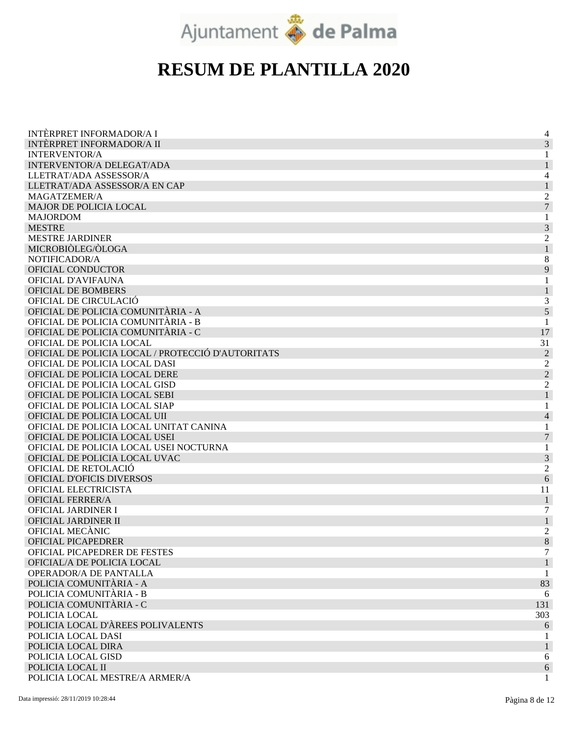

| <b>INTÈRPRET INFORMADOR/A I</b>                   | 4              |
|---------------------------------------------------|----------------|
| <b>INTÈRPRET INFORMADOR/A II</b>                  | 3              |
| <b>INTERVENTOR/A</b>                              |                |
| INTERVENTOR/A DELEGAT/ADA                         |                |
| LLETRAT/ADA ASSESSOR/A                            | 4              |
| LLETRAT/ADA ASSESSOR/A EN CAP                     |                |
| MAGATZEMER/A                                      | $\overline{c}$ |
| <b>MAJOR DE POLICIA LOCAL</b>                     | $\overline{7}$ |
| <b>MAJORDOM</b>                                   |                |
| <b>MESTRE</b>                                     | 3              |
| <b>MESTRE JARDINER</b>                            | $\overline{c}$ |
| MICROBIÒLEG/ÒLOGA                                 | 1              |
| NOTIFICADOR/A                                     | 8              |
| OFICIAL CONDUCTOR                                 | 9              |
| OFICIAL D'AVIFAUNA                                |                |
| <b>OFICIAL DE BOMBERS</b>                         |                |
| OFICIAL DE CIRCULACIÓ                             | 3              |
| OFICIAL DE POLICIA COMUNITÀRIA - A                | 5              |
| OFICIAL DE POLICIA COMUNITÀRIA - B                | 1              |
| OFICIAL DE POLICIA COMUNITÀRIA - C                | 17             |
| OFICIAL DE POLICIA LOCAL                          | 31             |
| OFICIAL DE POLICIA LOCAL / PROTECCIÓ D'AUTORITATS | $\overline{2}$ |
| OFICIAL DE POLICIA LOCAL DASI                     | $\overline{c}$ |
| OFICIAL DE POLICIA LOCAL DERE                     | $\overline{c}$ |
| OFICIAL DE POLICIA LOCAL GISD                     | $\overline{c}$ |
| OFICIAL DE POLICIA LOCAL SEBI                     | $\mathbf{1}$   |
| OFICIAL DE POLICIA LOCAL SIAP                     | 1              |
| OFICIAL DE POLICIA LOCAL UII                      | $\overline{4}$ |
| OFICIAL DE POLICIA LOCAL UNITAT CANINA            | 1              |
| OFICIAL DE POLICIA LOCAL USEI                     | 7              |
| OFICIAL DE POLICIA LOCAL USEI NOCTURNA            |                |
| OFICIAL DE POLICIA LOCAL UVAC                     | 1<br>3         |
| OFICIAL DE RETOLACIÓ                              |                |
| OFICIAL D'OFICIS DIVERSOS                         | $\overline{c}$ |
|                                                   | 6              |
| OFICIAL ELECTRICISTA                              | 11             |
| <b>OFICIAL FERRER/A</b>                           | $\mathbf{1}$   |
| OFICIAL JARDINER I                                | 7              |
| OFICIAL JARDINER II                               | 1              |
| OFICIAL MECÀNIC                                   | 2              |
| OFICIAL PICAPEDRER                                | $8\,$          |
| <b>OFICIAL PICAPEDRER DE FESTES</b>               | 7              |
| OFICIAL/A DE POLICIA LOCAL                        |                |
| OPERADOR/A DE PANTALLA                            | 1              |
| POLICIA COMUNITÀRIA - A                           | 83             |
| POLICIA COMUNITÀRIA - B                           | 6              |
| POLICIA COMUNITÀRIA - C                           | 131            |
| POLICIA LOCAL                                     | 303            |
| POLICIA LOCAL D'ÀREES POLIVALENTS                 | 6              |
| POLICIA LOCAL DASI                                |                |
| POLICIA LOCAL DIRA                                | $\mathbf{1}$   |
| POLICIA LOCAL GISD                                | 6              |
| POLICIA LOCAL II                                  | 6              |
| POLICIA LOCAL MESTRE/A ARMER/A                    | $\mathbf{1}$   |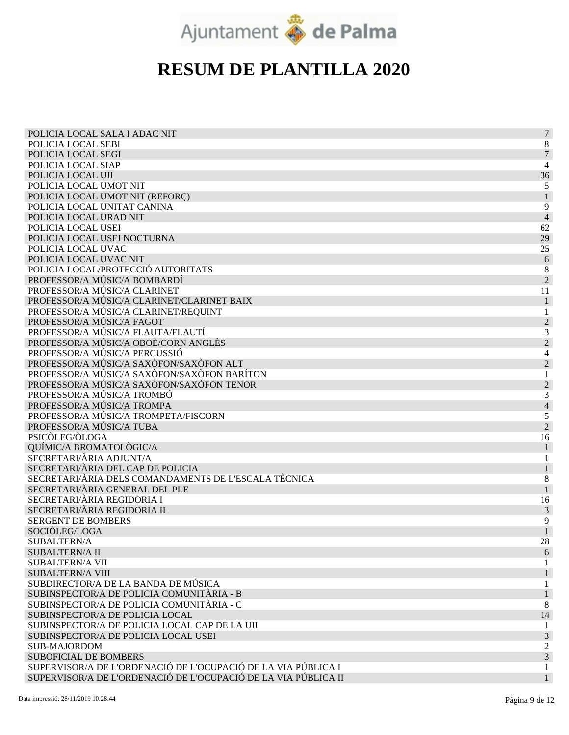

| POLICIA LOCAL SALA I ADAC NIT                                  | $\overline{7}$           |
|----------------------------------------------------------------|--------------------------|
| POLICIA LOCAL SEBI                                             | 8                        |
| POLICIA LOCAL SEGI                                             | 7                        |
| POLICIA LOCAL SIAP                                             | 4                        |
| POLICIA LOCAL UII                                              | 36                       |
| POLICIA LOCAL UMOT NIT                                         | 5                        |
| POLICIA LOCAL UMOT NIT (REFORÇ)                                |                          |
| POLICIA LOCAL UNITAT CANINA                                    | 9                        |
| POLICIA LOCAL URAD NIT                                         | 4                        |
| POLICIA LOCAL USEI                                             | 62                       |
| POLICIA LOCAL USEI NOCTURNA                                    | 29                       |
| POLICIA LOCAL UVAC                                             | 25                       |
| POLICIA LOCAL UVAC NIT                                         | 6                        |
| POLICIA LOCAL/PROTECCIÓ AUTORITATS                             | 8                        |
| PROFESSOR/A MÚSIC/A BOMBARDÍ                                   | $\overline{2}$           |
| PROFESSOR/A MÚSIC/A CLARINET                                   | 11                       |
| PROFESSOR/A MÚSIC/A CLARINET/CLARINET BAIX                     |                          |
| PROFESSOR/A MÚSIC/A CLARINET/REQUINT                           |                          |
| PROFESSOR/A MÚSIC/A FAGOT                                      | $\overline{c}$           |
| PROFESSOR/A MÚSIC/A FLAUTA/FLAUTÍ                              | 3                        |
| PROFESSOR/A MÚSIC/A OBOÈ/CORN ANGLÈS                           | $\overline{c}$           |
| PROFESSOR/A MÚSIC/A PERCUSSIÓ                                  | 4                        |
| PROFESSOR/A MÚSIC/A SAXÒFON/SAXÒFON ALT                        | $\overline{c}$           |
| PROFESSOR/A MÚSIC/A SAXÒFON/SAXÒFON BARÍTON                    |                          |
| PROFESSOR/A MÚSIC/A SAXÒFON/SAXÒFON TENOR                      | $\overline{c}$           |
| PROFESSOR/A MÚSIC/A TROMBÓ                                     | 3                        |
| PROFESSOR/A MÚSIC/A TROMPA                                     | $\overline{\mathcal{L}}$ |
| PROFESSOR/A MÚSIC/A TROMPETA/FISCORN                           | 5                        |
| PROFESSOR/A MÚSIC/A TUBA                                       | $\overline{2}$           |
| PSICÒLEG/ÒLOGA                                                 | 16                       |
| QUÍMIC/A BROMATOLÒGIC/A                                        |                          |
| SECRETARI/ÀRIA ADJUNT/A                                        |                          |
| SECRETARI/ÀRIA DEL CAP DE POLICIA                              |                          |
| SECRETARI/ÀRIA DELS COMANDAMENTS DE L'ESCALA TÈCNICA           | 8                        |
| SECRETARI/ÀRIA GENERAL DEL PLE                                 | 1                        |
| SECRETARI/ÀRIA REGIDORIA I                                     | 16                       |
| SECRETARI/ÀRIA REGIDORIA II                                    | 3                        |
| <b>SERGENT DE BOMBERS</b>                                      | 9                        |
| SOCIÒLEG/LOGA                                                  |                          |
| SUBALTERN/A                                                    | 28                       |
| <b>SUBALTERN/A II</b>                                          | 6                        |
| <b>SUBALTERN/A VII</b>                                         |                          |
| <b>SUBALTERN/A VIII</b>                                        |                          |
| SUBDIRECTOR/A DE LA BANDA DE MÚSICA                            |                          |
| SUBINSPECTOR/A DE POLICIA COMUNITÀRIA - B                      |                          |
| SUBINSPECTOR/A DE POLICIA COMUNITÀRIA - C                      | 8                        |
| SUBINSPECTOR/A DE POLICIA LOCAL                                | 14                       |
| SUBINSPECTOR/A DE POLICIA LOCAL CAP DE LA UII                  |                          |
| SUBINSPECTOR/A DE POLICIA LOCAL USEI                           | 3                        |
| <b>SUB-MAJORDOM</b>                                            | 2                        |
| <b>SUBOFICIAL DE BOMBERS</b>                                   | 3                        |
| SUPERVISOR/A DE L'ORDENACIÓ DE L'OCUPACIÓ DE LA VIA PÚBLICA I  | 1                        |
| SUPERVISOR/A DE L'ORDENACIÓ DE L'OCUPACIÓ DE LA VIA PÚBLICA II |                          |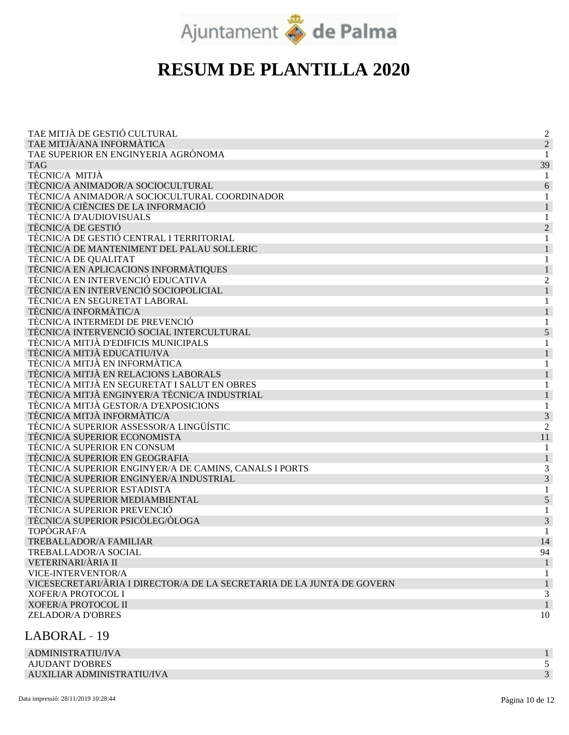

| TAE MITJÀ DE GESTIÓ CULTURAL                                           | $\overline{c}$ |
|------------------------------------------------------------------------|----------------|
| TAE MITJÀ/ANA INFORMÀTICA                                              | $\overline{2}$ |
| TAE SUPERIOR EN ENGINYERIA AGRÒNOMA                                    |                |
| <b>TAG</b>                                                             | 39             |
| TÈCNIC/A MITJÀ                                                         |                |
| TÈCNIC/A ANIMADOR/A SOCIOCULTURAL                                      | 6              |
| TÈCNIC/A ANIMADOR/A SOCIOCULTURAL COORDINADOR                          |                |
| TÈCNIC/A CIÈNCIES DE LA INFORMACIÓ                                     |                |
| TÈCNIC/A D'AUDIOVISUALS                                                |                |
| TÈCNIC/A DE GESTIÓ                                                     | $\overline{2}$ |
| TÈCNIC/A DE GESTIÓ CENTRAL I TERRITORIAL                               |                |
| TÈCNIC/A DE MANTENIMENT DEL PALAU SOLLERIC                             |                |
| TÈCNIC/A DE QUALITAT                                                   |                |
| TÈCNIC/A EN APLICACIONS INFORMÀTIQUES                                  |                |
| TÈCNIC/A EN INTERVENCIÓ EDUCATIVA                                      |                |
| TÈCNIC/A EN INTERVENCIÓ SOCIOPOLICIAL                                  |                |
| TÈCNIC/A EN SEGURETAT LABORAL                                          |                |
| TÈCNIC/A INFORMÀTIC/A                                                  |                |
| TÈCNIC/A INTERMEDI DE PREVENCIÓ                                        |                |
| TÈCNIC/A INTERVENCIÓ SOCIAL INTERCULTURAL                              | 5              |
| TÈCNIC/A MITJÀ D'EDIFICIS MUNICIPALS                                   |                |
| TÈCNIC/A MITJÀ EDUCATIU/IVA                                            |                |
| TÈCNIC/A MITJÀ EN INFORMÀTICA                                          |                |
| TÈCNIC/A MITJÀ EN RELACIONS LABORALS                                   |                |
| TÈCNIC/A MITJÀ EN SEGURETAT I SALUT EN OBRES                           |                |
| TÈCNIC/A MITJÀ ENGINYER/A TÈCNIC/A INDUSTRIAL                          |                |
| TÈCNIC/A MITJÀ GESTOR/A D'EXPOSICIONS                                  |                |
| TÈCNIC/A MITJÀ INFORMÀTIC/A                                            | 3              |
| TÈCNIC/A SUPERIOR ASSESSOR/A LINGÜÍSTIC                                | 2              |
| TÈCNIC/A SUPERIOR ECONOMISTA                                           | 11             |
| TÈCNIC/A SUPERIOR EN CONSUM                                            |                |
| TÈCNIC/A SUPERIOR EN GEOGRAFIA                                         |                |
| TÈCNIC/A SUPERIOR ENGINYER/A DE CAMINS, CANALS I PORTS                 |                |
| TÈCNIC/A SUPERIOR ENGINYER/A INDUSTRIAL                                | 3              |
| TÈCNIC/A SUPERIOR ESTADISTA                                            |                |
| TÈCNIC/A SUPERIOR MEDIAMBIENTAL                                        | 5              |
| TÈCNIC/A SUPERIOR PREVENCIÓ                                            |                |
| TÈCNIC/A SUPERIOR PSICÒLEG/ÒLOGA                                       | 3              |
| TOPÒGRAF/A                                                             |                |
| TREBALLADOR/A FAMILIAR                                                 | 14             |
| <b>TREBALLADOR/A SOCIAL</b>                                            | 94             |
| VETERINARI/ÀRIA II                                                     | $\mathbf{1}$   |
| VICE-INTERVENTOR/A                                                     | 1              |
| VICESECRETARI/ÀRIA I DIRECTOR/A DE LA SECRETARIA DE LA JUNTA DE GOVERN | 1              |
| <b>XOFER/A PROTOCOL I</b>                                              | 3              |
| <b>XOFER/A PROTOCOL II</b>                                             |                |
| <b>ZELADOR/A D'OBRES</b>                                               | 10             |

#### LABORAL 19

| ADMINISTRATIU/IVA          |  |
|----------------------------|--|
| AJUDANT D'OBRES            |  |
| AUXILIAR ADMINISTRATIU/IVA |  |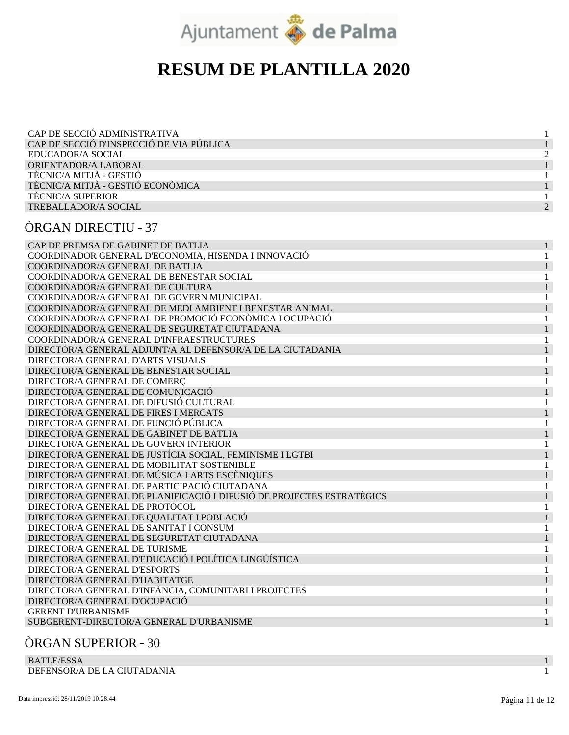

| CAP DE SECCIÓ ADMINISTRATIVA             |  |
|------------------------------------------|--|
| CAP DE SECCIÓ D'INSPECCIÓ DE VIA PÚBLICA |  |
| EDUCADOR/A SOCIAL                        |  |
| ORIENTADOR/A LABORAL                     |  |
| TÈCNIC/A MITJÀ - GESTIÓ                  |  |
| TÈCNIC/A MITJÀ - GESTIÓ ECONÒMICA        |  |
| <b>TECNIC/A SUPERIOR</b>                 |  |
| <b>TREBALLADOR/A SOCIAL</b>              |  |

#### ÒRGAN DIRECTIU 37

| CAP DE PREMSA DE GABINET DE BATLIA                                    |  |
|-----------------------------------------------------------------------|--|
| COORDINADOR GENERAL D'ECONOMIA, HISENDA I INNOVACIÓ                   |  |
| COORDINADOR/A GENERAL DE BATLIA                                       |  |
| COORDINADOR/A GENERAL DE BENESTAR SOCIAL                              |  |
| COORDINADOR/A GENERAL DE CULTURA                                      |  |
| COORDINADOR/A GENERAL DE GOVERN MUNICIPAL                             |  |
| COORDINADOR/A GENERAL DE MEDI AMBIENT I BENESTAR ANIMAL               |  |
| COORDINADOR/A GENERAL DE PROMOCIÓ ECONÒMICA I OCUPACIÓ                |  |
| COORDINADOR/A GENERAL DE SEGURETAT CIUTADANA                          |  |
| COORDINADOR/A GENERAL D'INFRAESTRUCTURES                              |  |
| DIRECTOR/A GENERAL ADJUNT/A AL DEFENSOR/A DE LA CIUTADANIA            |  |
| DIRECTOR/A GENERAL D'ARTS VISUALS                                     |  |
| DIRECTOR/A GENERAL DE BENESTAR SOCIAL                                 |  |
| DIRECTOR/A GENERAL DE COMERÇ                                          |  |
| DIRECTOR/A GENERAL DE COMUNICACIÓ                                     |  |
| DIRECTOR/A GENERAL DE DIFUSIÓ CULTURAL                                |  |
| DIRECTOR/A GENERAL DE FIRES I MERCATS                                 |  |
| DIRECTOR/A GENERAL DE FUNCIÓ PÚBLICA                                  |  |
| DIRECTOR/A GENERAL DE GABINET DE BATLIA                               |  |
| DIRECTOR/A GENERAL DE GOVERN INTERIOR                                 |  |
| DIRECTOR/A GENERAL DE JUSTÍCIA SOCIAL, FEMINISME I LGTBI              |  |
| DIRECTOR/A GENERAL DE MOBILITAT SOSTENIBLE                            |  |
| DIRECTOR/A GENERAL DE MÚSICA I ARTS ESCÈNIQUES                        |  |
| DIRECTOR/A GENERAL DE PARTICIPACIÓ CIUTADANA                          |  |
| DIRECTOR/A GENERAL DE PLANIFICACIÓ I DIFUSIÓ DE PROJECTES ESTRATÈGICS |  |
| DIRECTOR/A GENERAL DE PROTOCOL                                        |  |
| DIRECTOR/A GENERAL DE QUALITAT I POBLACIÓ                             |  |
| DIRECTOR/A GENERAL DE SANITAT I CONSUM                                |  |
| DIRECTOR/A GENERAL DE SEGURETAT CIUTADANA                             |  |
| DIRECTOR/A GENERAL DE TURISME                                         |  |
| DIRECTOR/A GENERAL D'EDUCACIÓ I POLÍTICA LINGÜÍSTICA                  |  |
| DIRECTOR/A GENERAL D'ESPORTS                                          |  |
| DIRECTOR/A GENERAL D'HABITATGE                                        |  |
| DIRECTOR/A GENERAL D'INFÀNCIA, COMUNITARI I PROJECTES                 |  |
| DIRECTOR/A GENERAL D'OCUPACIÓ                                         |  |
| <b>GERENT D'URBANISME</b>                                             |  |
| SUBGERENT-DIRECTOR/A GENERAL D'URBANISME                              |  |
|                                                                       |  |

#### ÒRGAN SUPERIOR 30

BATLE/ESSA DEFENSOR/A DE LA CIUTADANIA

1 1